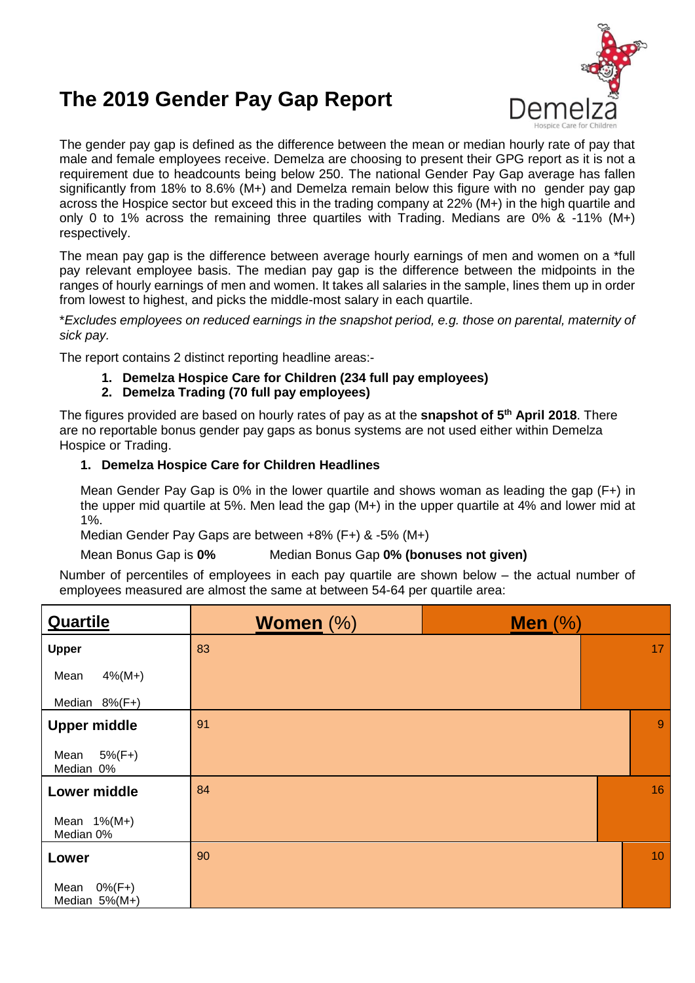## **The 2019 Gender Pay Gap Report**



The gender pay gap is defined as the difference between the mean or median hourly rate of pay that male and female employees receive. Demelza are choosing to present their GPG report as it is not a requirement due to headcounts being below 250. The national Gender Pay Gap average has fallen significantly from 18% to 8.6% (M+) and Demelza remain below this figure with no gender pay gap across the Hospice sector but exceed this in the trading company at 22% (M+) in the high quartile and only 0 to 1% across the remaining three quartiles with Trading. Medians are 0% & -11% (M+) respectively.

The mean pay gap is the difference between average hourly earnings of men and women on a \*full pay relevant employee basis. The median pay gap is the difference between the midpoints in the ranges of hourly earnings of men and women. It takes all salaries in the sample, lines them up in order from lowest to highest, and picks the middle-most salary in each quartile.

\**Excludes employees on reduced earnings in the snapshot period, e.g. those on parental, maternity of sick pay.*

The report contains 2 distinct reporting headline areas:-

**1. Demelza Hospice Care for Children (234 full pay employees)**

## **2. Demelza Trading (70 full pay employees)**

The figures provided are based on hourly rates of pay as at the **snapshot of 5 th April 2018**. There are no reportable bonus gender pay gaps as bonus systems are not used either within Demelza Hospice or Trading.

## **1. Demelza Hospice Care for Children Headlines**

Mean Gender Pay Gap is 0% in the lower quartile and shows woman as leading the gap (F+) in the upper mid quartile at 5%. Men lead the gap (M+) in the upper quartile at 4% and lower mid at 1%.

Median Gender Pay Gaps are between +8% (F+) & -5% (M+)

Mean Bonus Gap is **0%** Median Bonus Gap **0% (bonuses not given)**

Number of percentiles of employees in each pay quartile are shown below – the actual number of employees measured are almost the same at between 54-64 per quartile area:

| <b>Quartile</b>                     | <b>Women</b> $(\%)$ | Men $(\%)$ |                 |
|-------------------------------------|---------------------|------------|-----------------|
| <b>Upper</b>                        | 83                  |            | 17 <sup>°</sup> |
| $4\%$ (M+)<br>Mean                  |                     |            |                 |
| Median 8%(F+)                       |                     |            |                 |
| <b>Upper middle</b>                 | 91                  |            | 9               |
| $5\%$ (F+)<br>Mean<br>Median 0%     |                     |            |                 |
| <b>Lower middle</b>                 | 84                  |            | 16              |
| Mean $1\%$ (M+)<br>Median 0%        |                     |            |                 |
| Lower                               | 90                  |            | 10 <sup>°</sup> |
| $0\%$ (F+)<br>Mean<br>Median 5%(M+) |                     |            |                 |